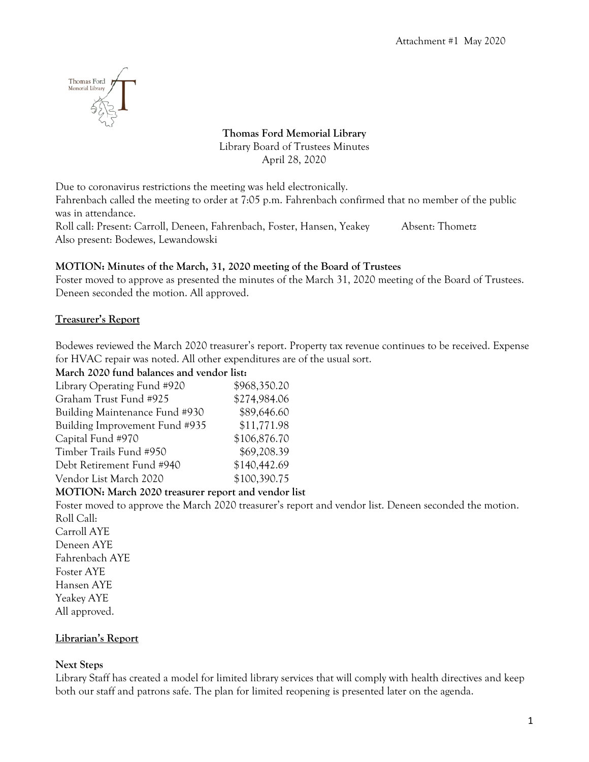

**Thomas Ford Memorial Library** Library Board of Trustees Minutes April 28, 2020

Due to coronavirus restrictions the meeting was held electronically.

Fahrenbach called the meeting to order at 7:05 p.m. Fahrenbach confirmed that no member of the public was in attendance.

Roll call: Present: Carroll, Deneen, Fahrenbach, Foster, Hansen, Yeakey Absent: Thometz Also present: Bodewes, Lewandowski

## **MOTION: Minutes of the March, 31, 2020 meeting of the Board of Trustees**

Foster moved to approve as presented the minutes of the March 31, 2020 meeting of the Board of Trustees. Deneen seconded the motion. All approved.

### **Treasurer's Report**

Bodewes reviewed the March 2020 treasurer's report. Property tax revenue continues to be received. Expense for HVAC repair was noted. All other expenditures are of the usual sort.

**March 2020 fund balances and vendor list:**

| Library Operating Fund #920    | \$968,350.20 |
|--------------------------------|--------------|
| Graham Trust Fund #925         | \$274,984.06 |
| Building Maintenance Fund #930 | \$89,646.60  |
| Building Improvement Fund #935 | \$11,771.98  |
| Capital Fund #970              | \$106,876.70 |
| Timber Trails Fund #950        | \$69,208.39  |
| Debt Retirement Fund #940      | \$140,442.69 |
| Vendor List March 2020         | \$100,390.75 |
|                                |              |

### **MOTION: March 2020 treasurer report and vendor list**

Foster moved to approve the March 2020 treasurer's report and vendor list. Deneen seconded the motion. Roll Call: Carroll AYE Deneen AYE Fahrenbach AYE Foster AYE Hansen AYE Yeakey AYE All approved.

### **Librarian's Report**

### **Next Steps**

Library Staff has created a model for limited library services that will comply with health directives and keep both our staff and patrons safe. The plan for limited reopening is presented later on the agenda.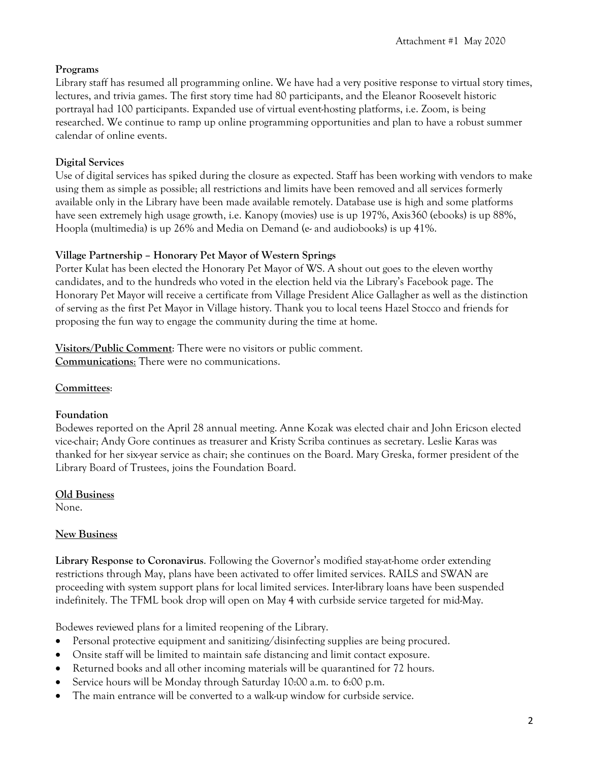## **Programs**

Library staff has resumed all programming online. We have had a very positive response to virtual story times, lectures, and trivia games. The first story time had 80 participants, and the Eleanor Roosevelt historic portrayal had 100 participants. Expanded use of virtual event-hosting platforms, i.e. Zoom, is being researched. We continue to ramp up online programming opportunities and plan to have a robust summer calendar of online events.

## **Digital Services**

Use of digital services has spiked during the closure as expected. Staff has been working with vendors to make using them as simple as possible; all restrictions and limits have been removed and all services formerly available only in the Library have been made available remotely. Database use is high and some platforms have seen extremely high usage growth, i.e. Kanopy (movies) use is up 197%, Axis360 (ebooks) is up 88%, Hoopla (multimedia) is up 26% and Media on Demand (e- and audiobooks) is up 41%.

## **Village Partnership – Honorary Pet Mayor of Western Springs**

Porter Kulat has been elected the Honorary Pet Mayor of WS. A shout out goes to the eleven worthy candidates, and to the hundreds who voted in the election held via the Library's Facebook page. The Honorary Pet Mayor will receive a certificate from Village President Alice Gallagher as well as the distinction of serving as the first Pet Mayor in Village history. Thank you to local teens Hazel Stocco and friends for proposing the fun way to engage the community during the time at home.

**Visitors/Public Comment**: There were no visitors or public comment. **Communications**: There were no communications.

## **Committees**:

## **Foundation**

Bodewes reported on the April 28 annual meeting. Anne Kozak was elected chair and John Ericson elected vice-chair; Andy Gore continues as treasurer and Kristy Scriba continues as secretary. Leslie Karas was thanked for her six-year service as chair; she continues on the Board. Mary Greska, former president of the Library Board of Trustees, joins the Foundation Board.

# **Old Business**

None.

# **New Business**

**Library Response to Coronavirus**. Following the Governor's modified stay-at-home order extending restrictions through May, plans have been activated to offer limited services. RAILS and SWAN are proceeding with system support plans for local limited services. Inter-library loans have been suspended indefinitely. The TFML book drop will open on May 4 with curbside service targeted for mid-May.

Bodewes reviewed plans for a limited reopening of the Library.

- Personal protective equipment and sanitizing/disinfecting supplies are being procured.
- Onsite staff will be limited to maintain safe distancing and limit contact exposure.
- Returned books and all other incoming materials will be quarantined for 72 hours.
- Service hours will be Monday through Saturday 10:00 a.m. to 6:00 p.m.
- The main entrance will be converted to a walk-up window for curbside service.